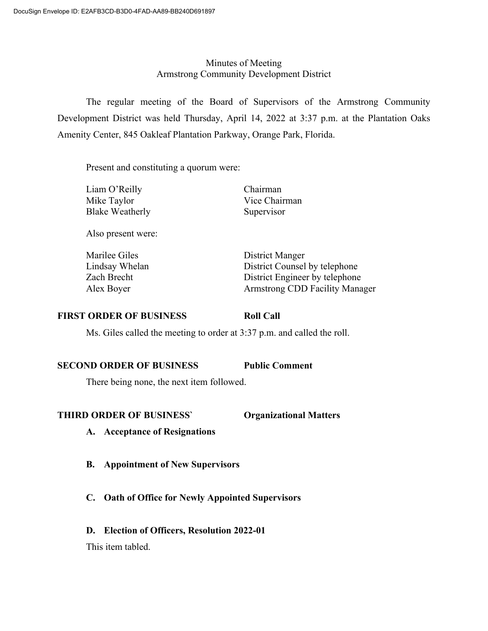## Minutes of Meeting Armstrong Community Development District

The regular meeting of the Board of Supervisors of the Armstrong Community Development District was held Thursday, April 14, 2022 at 3:37 p.m. at the Plantation Oaks Amenity Center, 845 Oakleaf Plantation Parkway, Orange Park, Florida.

Present and constituting a quorum were:

Liam O'Reilly Chairman Mike Taylor Vice Chairman Blake Weatherly Supervisor

Also present were:

Marilee Giles District Manger

Lindsay Whelan District Counsel by telephone Zach Brecht District Engineer by telephone Alex Boyer Armstrong CDD Facility Manager

## **FIRST ORDER OF BUSINESS Roll Call**

Ms. Giles called the meeting to order at 3:37 p.m. and called the roll.

## **SECOND ORDER OF BUSINESS Public Comment**

There being none, the next item followed.

## **THIRD ORDER OF BUSINESS` Organizational Matters**

- **A. Acceptance of Resignations**
- **B. Appointment of New Supervisors**
- **C. Oath of Office for Newly Appointed Supervisors**
- **D. Election of Officers, Resolution 2022-01**

This item tabled.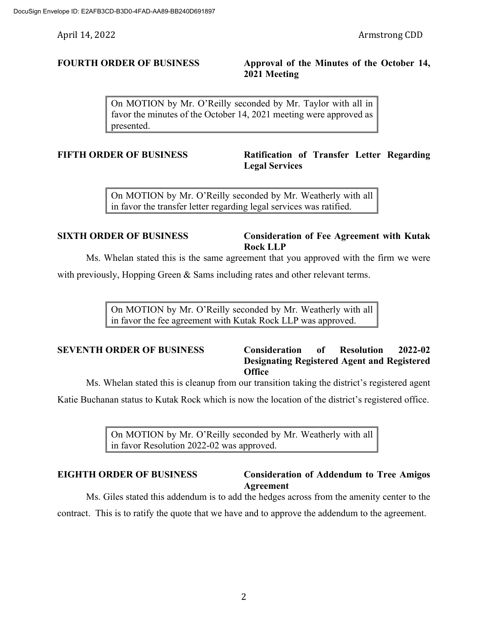## **FOURTH ORDER OF BUSINESS Approval of the Minutes of the October 14, 2021 Meeting**

On MOTION by Mr. O'Reilly seconded by Mr. Taylor with all in favor the minutes of the October 14, 2021 meeting were approved as presented.

## **FIFTH ORDER OF BUSINESS Ratification of Transfer Letter Regarding Legal Services**

On MOTION by Mr. O'Reilly seconded by Mr. Weatherly with all in favor the transfer letter regarding legal services was ratified.

## **SIXTH ORDER OF BUSINESS Consideration of Fee Agreement with Kutak Rock LLP**

Ms. Whelan stated this is the same agreement that you approved with the firm we were

with previously, Hopping Green  $\&$  Sams including rates and other relevant terms.

On MOTION by Mr. O'Reilly seconded by Mr. Weatherly with all in favor the fee agreement with Kutak Rock LLP was approved.

## **SEVENTH ORDER OF BUSINESS Consideration of Resolution 2022-02 Designating Registered Agent and Registered Office**

Ms. Whelan stated this is cleanup from our transition taking the district's registered agent

Katie Buchanan status to Kutak Rock which is now the location of the district's registered office.

On MOTION by Mr. O'Reilly seconded by Mr. Weatherly with all in favor Resolution 2022-02 was approved.

## **EIGHTH ORDER OF BUSINESS Consideration of Addendum to Tree Amigos Agreement**

Ms. Giles stated this addendum is to add the hedges across from the amenity center to the contract. This is to ratify the quote that we have and to approve the addendum to the agreement.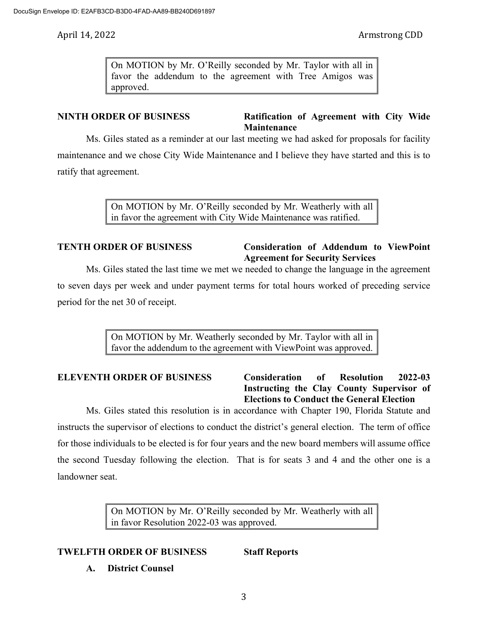On MOTION by Mr. O'Reilly seconded by Mr. Taylor with all in favor the addendum to the agreement with Tree Amigos was approved.

# **NINTH ORDER OF BUSINESS Ratification of Agreement with City Wide Maintenance**

Ms. Giles stated as a reminder at our last meeting we had asked for proposals for facility maintenance and we chose City Wide Maintenance and I believe they have started and this is to ratify that agreement.

> On MOTION by Mr. O'Reilly seconded by Mr. Weatherly with all in favor the agreement with City Wide Maintenance was ratified.

## **TENTH ORDER OF BUSINESS Consideration of Addendum to ViewPoint Agreement for Security Services**

Ms. Giles stated the last time we met we needed to change the language in the agreement to seven days per week and under payment terms for total hours worked of preceding service period for the net 30 of receipt.

> On MOTION by Mr. Weatherly seconded by Mr. Taylor with all in favor the addendum to the agreement with ViewPoint was approved.

# **ELEVENTH ORDER OF BUSINESS Consideration of Resolution 2022-03 Instructing the Clay County Supervisor of Elections to Conduct the General Election**

Ms. Giles stated this resolution is in accordance with Chapter 190, Florida Statute and instructs the supervisor of elections to conduct the district's general election. The term of office for those individuals to be elected is for four years and the new board members will assume office the second Tuesday following the election. That is for seats 3 and 4 and the other one is a landowner seat.

> On MOTION by Mr. O'Reilly seconded by Mr. Weatherly with all in favor Resolution 2022-03 was approved.

# **TWELFTH ORDER OF BUSINESS Staff Reports**

**A. District Counsel**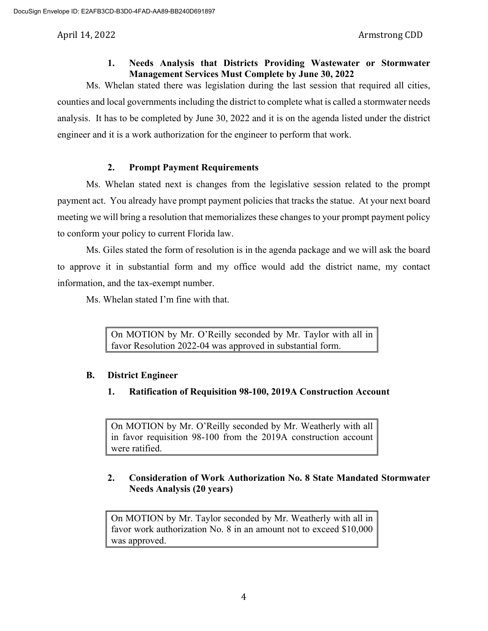## **1. Needs Analysis that Districts Providing Wastewater or Stormwater Management Services Must Complete by June 30, 2022**

Ms. Whelan stated there was legislation during the last session that required all cities, counties and local governments including the district to complete what is called a stormwater needs analysis. It has to be completed by June 30, 2022 and it is on the agenda listed under the district engineer and it is a work authorization for the engineer to perform that work.

# **2. Prompt Payment Requirements**

Ms. Whelan stated next is changes from the legislative session related to the prompt payment act. You already have prompt payment policies that tracks the statue. At your next board meeting we will bring a resolution that memorializes these changes to your prompt payment policy to conform your policy to current Florida law.

Ms. Giles stated the form of resolution is in the agenda package and we will ask the board to approve it in substantial form and my office would add the district name, my contact information, and the tax-exempt number.

Ms. Whelan stated I'm fine with that.

On MOTION by Mr. O'Reilly seconded by Mr. Taylor with all in favor Resolution 2022-04 was approved in substantial form.

# **B. District Engineer**

**1. Ratification of Requisition 98-100, 2019A Construction Account**

On MOTION by Mr. O'Reilly seconded by Mr. Weatherly with all in favor requisition 98-100 from the 2019A construction account were ratified.

# **2. Consideration of Work Authorization No. 8 State Mandated Stormwater Needs Analysis (20 years)**

On MOTION by Mr. Taylor seconded by Mr. Weatherly with all in favor work authorization No. 8 in an amount not to exceed \$10,000 was approved.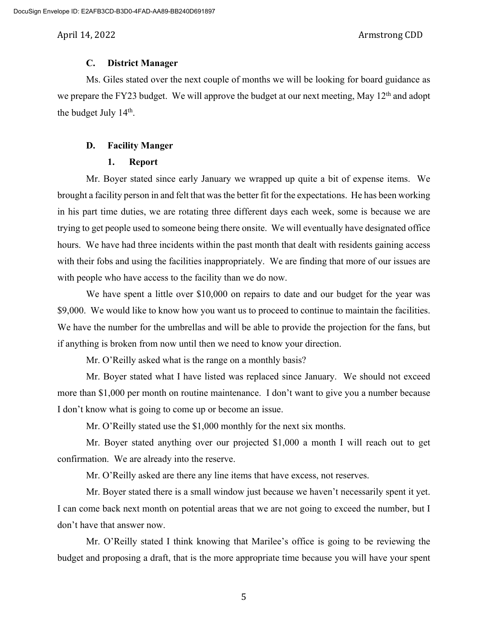### **C. District Manager**

Ms. Giles stated over the next couple of months we will be looking for board guidance as we prepare the FY23 budget. We will approve the budget at our next meeting, May 12<sup>th</sup> and adopt the budget July 14<sup>th</sup>.

### **D. Facility Manger**

### **1. Report**

Mr. Boyer stated since early January we wrapped up quite a bit of expense items. We brought a facility person in and felt that was the better fit for the expectations. He has been working in his part time duties, we are rotating three different days each week, some is because we are trying to get people used to someone being there onsite. We will eventually have designated office hours. We have had three incidents within the past month that dealt with residents gaining access with their fobs and using the facilities inappropriately. We are finding that more of our issues are with people who have access to the facility than we do now.

We have spent a little over \$10,000 on repairs to date and our budget for the year was \$9,000. We would like to know how you want us to proceed to continue to maintain the facilities. We have the number for the umbrellas and will be able to provide the projection for the fans, but if anything is broken from now until then we need to know your direction.

Mr. O'Reilly asked what is the range on a monthly basis?

Mr. Boyer stated what I have listed was replaced since January. We should not exceed more than \$1,000 per month on routine maintenance. I don't want to give you a number because I don't know what is going to come up or become an issue.

Mr. O'Reilly stated use the \$1,000 monthly for the next six months.

Mr. Boyer stated anything over our projected \$1,000 a month I will reach out to get confirmation. We are already into the reserve.

Mr. O'Reilly asked are there any line items that have excess, not reserves.

Mr. Boyer stated there is a small window just because we haven't necessarily spent it yet. I can come back next month on potential areas that we are not going to exceed the number, but I don't have that answer now.

Mr. O'Reilly stated I think knowing that Marilee's office is going to be reviewing the budget and proposing a draft, that is the more appropriate time because you will have your spent

5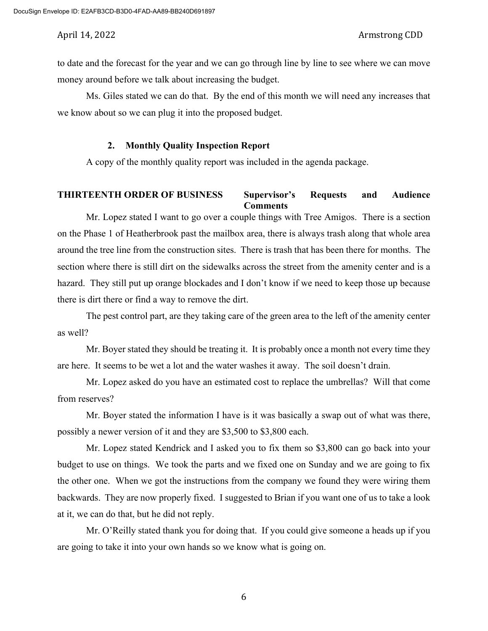to date and the forecast for the year and we can go through line by line to see where we can move money around before we talk about increasing the budget.

Ms. Giles stated we can do that. By the end of this month we will need any increases that we know about so we can plug it into the proposed budget.

### **2. Monthly Quality Inspection Report**

A copy of the monthly quality report was included in the agenda package.

## **THIRTEENTH ORDER OF BUSINESS Supervisor's Requests and Audience Comments**

Mr. Lopez stated I want to go over a couple things with Tree Amigos. There is a section on the Phase 1 of Heatherbrook past the mailbox area, there is always trash along that whole area around the tree line from the construction sites. There is trash that has been there for months. The section where there is still dirt on the sidewalks across the street from the amenity center and is a hazard. They still put up orange blockades and I don't know if we need to keep those up because there is dirt there or find a way to remove the dirt.

The pest control part, are they taking care of the green area to the left of the amenity center as well?

Mr. Boyer stated they should be treating it. It is probably once a month not every time they are here. It seems to be wet a lot and the water washes it away. The soil doesn't drain.

Mr. Lopez asked do you have an estimated cost to replace the umbrellas? Will that come from reserves?

Mr. Boyer stated the information I have is it was basically a swap out of what was there, possibly a newer version of it and they are \$3,500 to \$3,800 each.

Mr. Lopez stated Kendrick and I asked you to fix them so \$3,800 can go back into your budget to use on things. We took the parts and we fixed one on Sunday and we are going to fix the other one. When we got the instructions from the company we found they were wiring them backwards. They are now properly fixed. I suggested to Brian if you want one of us to take a look at it, we can do that, but he did not reply.

Mr. O'Reilly stated thank you for doing that. If you could give someone a heads up if you are going to take it into your own hands so we know what is going on.

6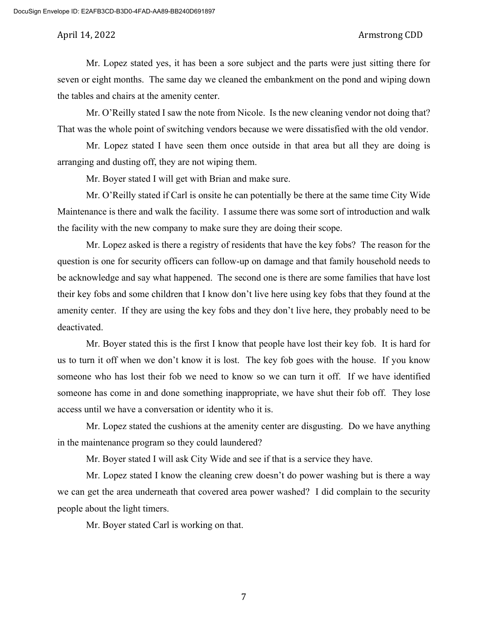Mr. Lopez stated yes, it has been a sore subject and the parts were just sitting there for seven or eight months. The same day we cleaned the embankment on the pond and wiping down the tables and chairs at the amenity center.

Mr. O'Reilly stated I saw the note from Nicole. Is the new cleaning vendor not doing that? That was the whole point of switching vendors because we were dissatisfied with the old vendor.

Mr. Lopez stated I have seen them once outside in that area but all they are doing is arranging and dusting off, they are not wiping them.

Mr. Boyer stated I will get with Brian and make sure.

Mr. O'Reilly stated if Carl is onsite he can potentially be there at the same time City Wide Maintenance is there and walk the facility. I assume there was some sort of introduction and walk the facility with the new company to make sure they are doing their scope.

Mr. Lopez asked is there a registry of residents that have the key fobs? The reason for the question is one for security officers can follow-up on damage and that family household needs to be acknowledge and say what happened. The second one is there are some families that have lost their key fobs and some children that I know don't live here using key fobs that they found at the amenity center. If they are using the key fobs and they don't live here, they probably need to be deactivated.

Mr. Boyer stated this is the first I know that people have lost their key fob. It is hard for us to turn it off when we don't know it is lost. The key fob goes with the house. If you know someone who has lost their fob we need to know so we can turn it off. If we have identified someone has come in and done something inappropriate, we have shut their fob off. They lose access until we have a conversation or identity who it is.

Mr. Lopez stated the cushions at the amenity center are disgusting. Do we have anything in the maintenance program so they could laundered?

Mr. Boyer stated I will ask City Wide and see if that is a service they have.

Mr. Lopez stated I know the cleaning crew doesn't do power washing but is there a way we can get the area underneath that covered area power washed? I did complain to the security people about the light timers.

Mr. Boyer stated Carl is working on that.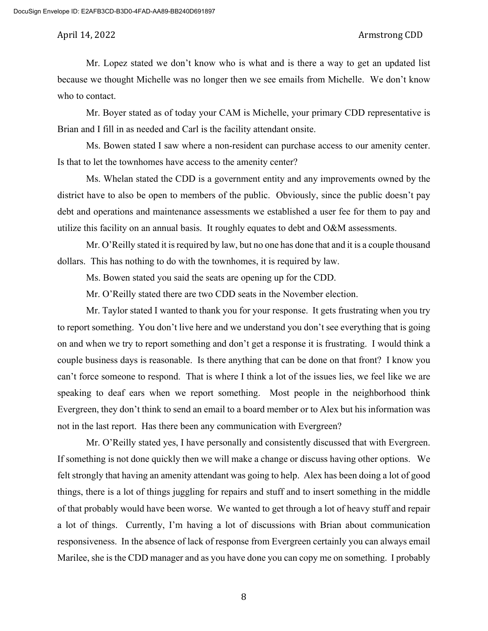Mr. Lopez stated we don't know who is what and is there a way to get an updated list because we thought Michelle was no longer then we see emails from Michelle. We don't know who to contact.

Mr. Boyer stated as of today your CAM is Michelle, your primary CDD representative is Brian and I fill in as needed and Carl is the facility attendant onsite.

Ms. Bowen stated I saw where a non-resident can purchase access to our amenity center. Is that to let the townhomes have access to the amenity center?

Ms. Whelan stated the CDD is a government entity and any improvements owned by the district have to also be open to members of the public. Obviously, since the public doesn't pay debt and operations and maintenance assessments we established a user fee for them to pay and utilize this facility on an annual basis. It roughly equates to debt and O&M assessments.

Mr. O'Reilly stated it is required by law, but no one has done that and it is a couple thousand dollars. This has nothing to do with the townhomes, it is required by law.

Ms. Bowen stated you said the seats are opening up for the CDD.

Mr. O'Reilly stated there are two CDD seats in the November election.

Mr. Taylor stated I wanted to thank you for your response. It gets frustrating when you try to report something. You don't live here and we understand you don't see everything that is going on and when we try to report something and don't get a response it is frustrating. I would think a couple business days is reasonable. Is there anything that can be done on that front? I know you can't force someone to respond. That is where I think a lot of the issues lies, we feel like we are speaking to deaf ears when we report something. Most people in the neighborhood think Evergreen, they don't think to send an email to a board member or to Alex but his information was not in the last report. Has there been any communication with Evergreen?

Mr. O'Reilly stated yes, I have personally and consistently discussed that with Evergreen. If something is not done quickly then we will make a change or discuss having other options. We felt strongly that having an amenity attendant was going to help. Alex has been doing a lot of good things, there is a lot of things juggling for repairs and stuff and to insert something in the middle of that probably would have been worse. We wanted to get through a lot of heavy stuff and repair a lot of things. Currently, I'm having a lot of discussions with Brian about communication responsiveness. In the absence of lack of response from Evergreen certainly you can always email Marilee, she is the CDD manager and as you have done you can copy me on something. I probably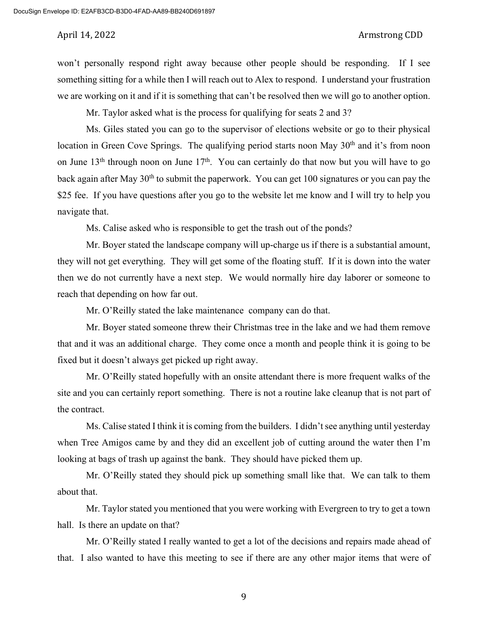won't personally respond right away because other people should be responding. If I see something sitting for a while then I will reach out to Alex to respond. I understand your frustration we are working on it and if it is something that can't be resolved then we will go to another option.

Mr. Taylor asked what is the process for qualifying for seats 2 and 3?

Ms. Giles stated you can go to the supervisor of elections website or go to their physical location in Green Cove Springs. The qualifying period starts noon May  $30<sup>th</sup>$  and it's from noon on June  $13<sup>th</sup>$  through noon on June  $17<sup>th</sup>$ . You can certainly do that now but you will have to go back again after May  $30<sup>th</sup>$  to submit the paperwork. You can get 100 signatures or you can pay the \$25 fee. If you have questions after you go to the website let me know and I will try to help you navigate that.

Ms. Calise asked who is responsible to get the trash out of the ponds?

Mr. Boyer stated the landscape company will up-charge us if there is a substantial amount, they will not get everything. They will get some of the floating stuff. If it is down into the water then we do not currently have a next step. We would normally hire day laborer or someone to reach that depending on how far out.

Mr. O'Reilly stated the lake maintenance company can do that.

Mr. Boyer stated someone threw their Christmas tree in the lake and we had them remove that and it was an additional charge. They come once a month and people think it is going to be fixed but it doesn't always get picked up right away.

Mr. O'Reilly stated hopefully with an onsite attendant there is more frequent walks of the site and you can certainly report something. There is not a routine lake cleanup that is not part of the contract.

Ms. Calise stated I think it is coming from the builders. I didn't see anything until yesterday when Tree Amigos came by and they did an excellent job of cutting around the water then I'm looking at bags of trash up against the bank. They should have picked them up.

Mr. O'Reilly stated they should pick up something small like that. We can talk to them about that.

Mr. Taylor stated you mentioned that you were working with Evergreen to try to get a town hall. Is there an update on that?

Mr. O'Reilly stated I really wanted to get a lot of the decisions and repairs made ahead of that. I also wanted to have this meeting to see if there are any other major items that were of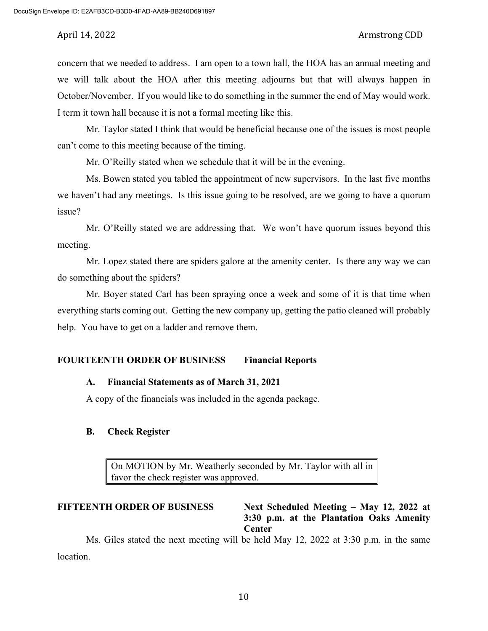concern that we needed to address. I am open to a town hall, the HOA has an annual meeting and we will talk about the HOA after this meeting adjourns but that will always happen in October/November. If you would like to do something in the summer the end of May would work. I term it town hall because it is not a formal meeting like this.

Mr. Taylor stated I think that would be beneficial because one of the issues is most people can't come to this meeting because of the timing.

Mr. O'Reilly stated when we schedule that it will be in the evening.

Ms. Bowen stated you tabled the appointment of new supervisors. In the last five months we haven't had any meetings. Is this issue going to be resolved, are we going to have a quorum issue?

Mr. O'Reilly stated we are addressing that. We won't have quorum issues beyond this meeting.

Mr. Lopez stated there are spiders galore at the amenity center. Is there any way we can do something about the spiders?

Mr. Boyer stated Carl has been spraying once a week and some of it is that time when everything starts coming out. Getting the new company up, getting the patio cleaned will probably help. You have to get on a ladder and remove them.

### **FOURTEENTH ORDER OF BUSINESS Financial Reports**

## **A. Financial Statements as of March 31, 2021**

A copy of the financials was included in the agenda package.

### **B. Check Register**

On MOTION by Mr. Weatherly seconded by Mr. Taylor with all in favor the check register was approved.

**FIFTEENTH ORDER OF BUSINESS Next Scheduled Meeting – May 12, 2022 at 3:30 p.m. at the Plantation Oaks Amenity Center**

Ms. Giles stated the next meeting will be held May 12, 2022 at 3:30 p.m. in the same location.